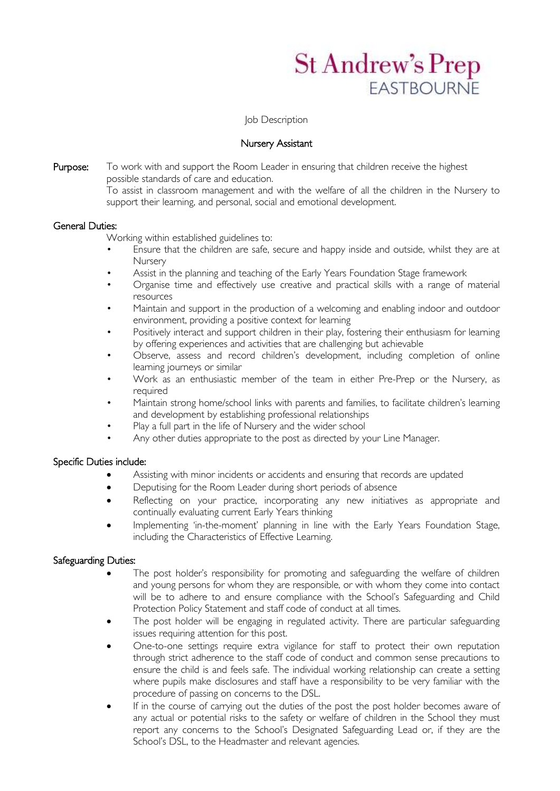# **St Andrew's Prep FASTROURNE**

Job Description

## Nursery Assistant

Purpose: To work with and support the Room Leader in ensuring that children receive the highest possible standards of care and education. To assist in classroom management and with the welfare of all the children in the Nursery to

support their learning, and personal, social and emotional development.

# General Duties:

Working within established guidelines to:

- Ensure that the children are safe, secure and happy inside and outside, whilst they are at **Nursery**
- Assist in the planning and teaching of the Early Years Foundation Stage framework
- Organise time and effectively use creative and practical skills with a range of material resources
- Maintain and support in the production of a welcoming and enabling indoor and outdoor environment, providing a positive context for learning
- Positively interact and support children in their play, fostering their enthusiasm for learning by offering experiences and activities that are challenging but achievable
- Observe, assess and record children's development, including completion of online learning journeys or similar
- Work as an enthusiastic member of the team in either Pre-Prep or the Nursery, as required
- Maintain strong home/school links with parents and families, to facilitate children's learning and development by establishing professional relationships
- Play a full part in the life of Nursery and the wider school
- Any other duties appropriate to the post as directed by your Line Manager.

# Specific Duties include:

- Assisting with minor incidents or accidents and ensuring that records are updated
- Deputising for the Room Leader during short periods of absence
- Reflecting on your practice, incorporating any new initiatives as appropriate and continually evaluating current Early Years thinking
- Implementing 'in-the-moment' planning in line with the Early Years Foundation Stage, including the Characteristics of Effective Learning.

# Safeguarding Duties:

- The post holder's responsibility for promoting and safeguarding the welfare of children and young persons for whom they are responsible, or with whom they come into contact will be to adhere to and ensure compliance with the School's Safeguarding and Child Protection Policy Statement and staff code of conduct at all times.
- The post holder will be engaging in regulated activity. There are particular safeguarding issues requiring attention for this post.
- One-to-one settings require extra vigilance for staff to protect their own reputation through strict adherence to the staff code of conduct and common sense precautions to ensure the child is and feels safe. The individual working relationship can create a setting where pupils make disclosures and staff have a responsibility to be very familiar with the procedure of passing on concerns to the DSL.
- If in the course of carrying out the duties of the post the post holder becomes aware of any actual or potential risks to the safety or welfare of children in the School they must report any concerns to the School's Designated Safeguarding Lead or, if they are the School's DSL, to the Headmaster and relevant agencies.